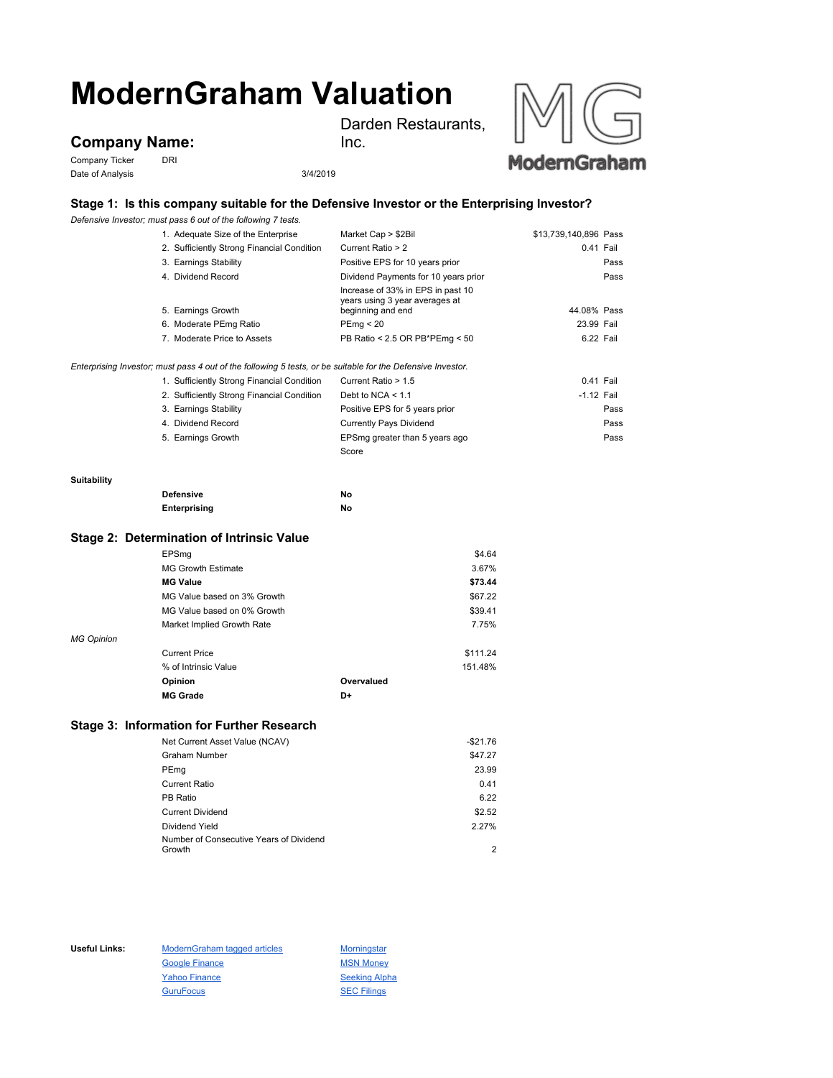# **ModernGraham Valuation**

**Company Name:**

Company Ticker DRI Date of Analysis 3/4/2019



## **Stage 1: Is this company suitable for the Defensive Investor or the Enterprising Investor?**<br>Defensive Investor: must pass 6 out of the following 7 tests.

Inc.

Darden Restaurants,

*Defensive Investor; must pass 6 out of the following 7 tests.*

|                    | Defensive investor; must pass 6 out of the following 7 tests.                                               |                                                     |                       |             |
|--------------------|-------------------------------------------------------------------------------------------------------------|-----------------------------------------------------|-----------------------|-------------|
|                    | 1. Adequate Size of the Enterprise                                                                          | Market Cap > \$2Bil                                 | \$13,739,140,896 Pass |             |
|                    | 2. Sufficiently Strong Financial Condition                                                                  | Current Ratio > 2                                   |                       | $0.41$ Fail |
|                    | 3. Earnings Stability                                                                                       | Positive EPS for 10 years prior                     |                       | Pass        |
|                    | 4. Dividend Record                                                                                          | Dividend Payments for 10 years prior                |                       | Pass        |
|                    |                                                                                                             | Increase of 33% in EPS in past 10                   |                       |             |
|                    | 5. Earnings Growth                                                                                          | years using 3 year averages at<br>beginning and end | 44.08% Pass           |             |
|                    | 6. Moderate PEmg Ratio                                                                                      | PEmg < 20                                           | 23.99 Fail            |             |
|                    | 7. Moderate Price to Assets                                                                                 | PB Ratio < 2.5 OR PB*PEmg < 50                      | 6.22 Fail             |             |
|                    |                                                                                                             |                                                     |                       |             |
|                    | Enterprising Investor; must pass 4 out of the following 5 tests, or be suitable for the Defensive Investor. |                                                     |                       |             |
|                    | 1. Sufficiently Strong Financial Condition                                                                  | Current Ratio > 1.5                                 | $0.41$ Fail           |             |
|                    | 2. Sufficiently Strong Financial Condition                                                                  | Debt to NCA $\leq 1.1$                              | $-1.12$ Fail          |             |
|                    | 3. Earnings Stability                                                                                       | Positive EPS for 5 years prior                      |                       | Pass        |
|                    | 4. Dividend Record                                                                                          | <b>Currently Pays Dividend</b>                      |                       | Pass        |
|                    | 5. Earnings Growth                                                                                          | EPSmg greater than 5 years ago                      |                       | Pass        |
|                    |                                                                                                             | Score                                               |                       |             |
|                    |                                                                                                             |                                                     |                       |             |
| <b>Suitability</b> |                                                                                                             |                                                     |                       |             |
|                    | <b>Defensive</b>                                                                                            | No                                                  |                       |             |
|                    | Enterprising                                                                                                | No                                                  |                       |             |
|                    | Stage 2: Determination of Intrinsic Value                                                                   |                                                     |                       |             |
|                    | EPSma                                                                                                       | \$4.64                                              |                       |             |
|                    | <b>MG Growth Estimate</b>                                                                                   | 3.67%                                               |                       |             |
|                    | <b>MG Value</b>                                                                                             | \$73.44                                             |                       |             |
|                    | MG Value based on 3% Growth                                                                                 | \$67.22                                             |                       |             |
|                    | MG Value based on 0% Growth                                                                                 | \$39.41                                             |                       |             |
|                    | Market Implied Growth Rate                                                                                  | 7.75%                                               |                       |             |
| <b>MG Opinion</b>  |                                                                                                             |                                                     |                       |             |

Current Price \$111.24 % of Intrinsic Value 151.48% **Opinion Overvalued MG Grade D+**

### **Stage 3: Information for Further Research**

| Net Current Asset Value (NCAV)          | $-$21.76$ |
|-----------------------------------------|-----------|
| <b>Graham Number</b>                    | \$47.27   |
| PEmg                                    | 23.99     |
| Current Ratio                           | 0.41      |
| PB Ratio                                | 6.22      |
| <b>Current Dividend</b>                 | \$2.52    |
| Dividend Yield                          | 2.27%     |
| Number of Consecutive Years of Dividend |           |
| Growth                                  | 2         |

Useful Links: ModernGraham tagged articles Morningstar Google Finance MSN Money Yahoo Finance Seeking Alpha GuruFocus **SEC Filings**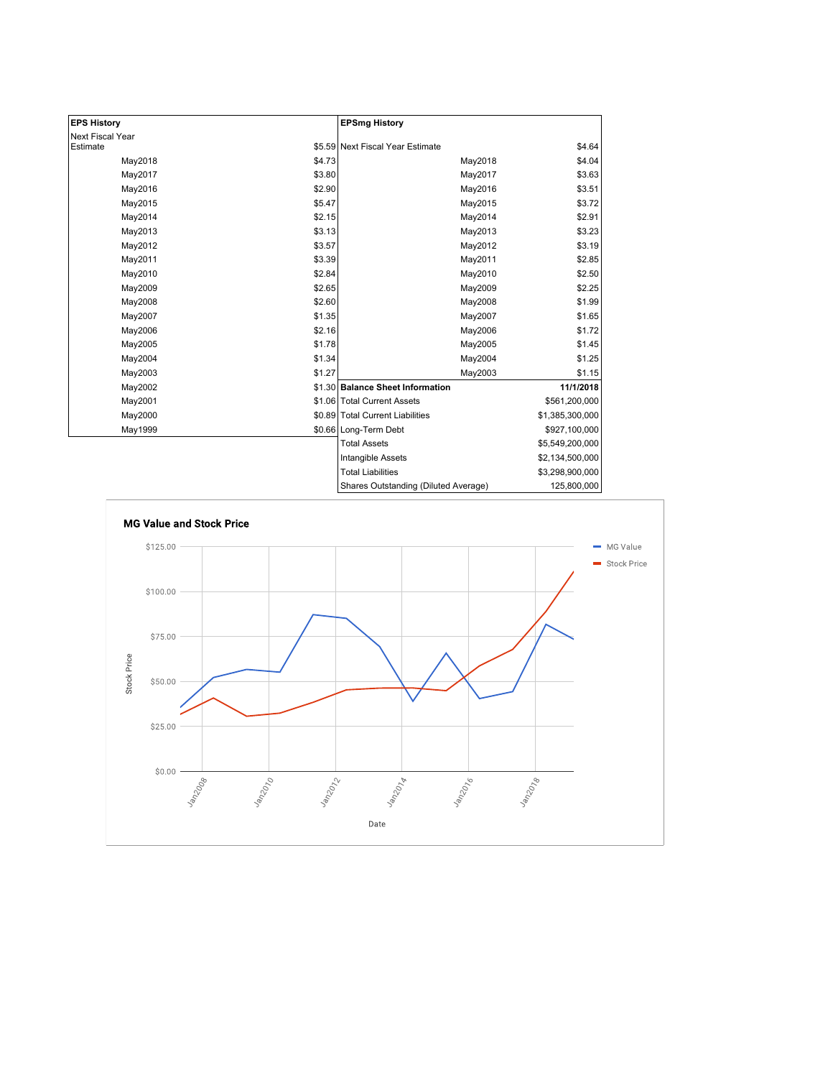| <b>EPS History</b> |        | <b>EPSmg History</b>                 |                 |
|--------------------|--------|--------------------------------------|-----------------|
| Next Fiscal Year   |        |                                      |                 |
| Estimate           |        | \$5.59 Next Fiscal Year Estimate     | \$4.64          |
| May2018            | \$4.73 | May2018                              | \$4.04          |
| May2017            | \$3.80 | May2017                              | \$3.63          |
| May2016            | \$2.90 | May2016                              | \$3.51          |
| May2015            | \$5.47 | May2015                              | \$3.72          |
| May2014            | \$2.15 | May2014                              | \$2.91          |
| May2013            | \$3.13 | May2013                              | \$3.23          |
| May2012            | \$3.57 | May2012                              | \$3.19          |
| May2011            | \$3.39 | May2011                              | \$2.85          |
| May2010            | \$2.84 | May2010                              | \$2.50          |
| May2009            | \$2.65 | May2009                              | \$2.25          |
| May2008            | \$2.60 | May2008                              | \$1.99          |
| May2007            | \$1.35 | May2007                              | \$1.65          |
| May2006            | \$2.16 | May2006                              | \$1.72          |
| May2005            | \$1.78 | May2005                              | \$1.45          |
| May2004            | \$1.34 | May2004                              | \$1.25          |
| May2003            | \$1.27 | May2003                              | \$1.15          |
| May2002            |        | \$1.30 Balance Sheet Information     | 11/1/2018       |
| May2001            |        | \$1.06 Total Current Assets          | \$561,200,000   |
| May2000            |        | \$0.89 Total Current Liabilities     | \$1,385,300,000 |
| May1999            |        | \$0.66 Long-Term Debt                | \$927,100,000   |
|                    |        | <b>Total Assets</b>                  | \$5,549,200,000 |
|                    |        | <b>Intangible Assets</b>             | \$2,134,500,000 |
|                    |        | <b>Total Liabilities</b>             | \$3,298,900,000 |
|                    |        | Shares Outstanding (Diluted Average) | 125,800,000     |